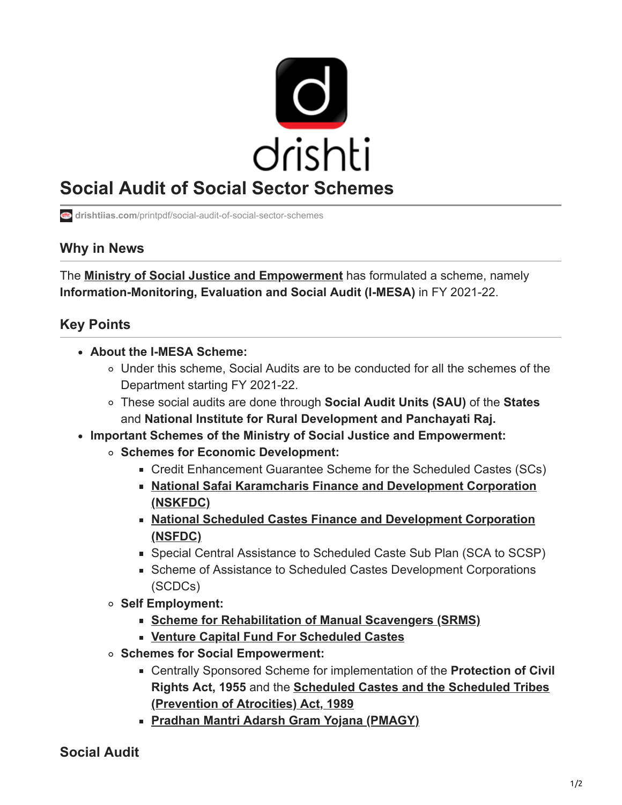

## **Social Audit of Social Sector Schemes**

**drishtiias.com**[/printpdf/social-audit-of-social-sector-schemes](https://www.drishtiias.com/printpdf/social-audit-of-social-sector-schemes)

## **Why in News**

The **[Ministry of Social Justice and Empowerment](https://www.drishtiias.com/to-the-points/Paper2/year-end-review-2019-ministry-of-social-justice-and-empowerment)** has formulated a scheme, namely **Information-Monitoring, Evaluation and Social Audit (I-MESA)** in FY 2021-22.

## **Key Points**

- **About the I-MESA Scheme:**
	- Under this scheme, Social Audits are to be conducted for all the schemes of the Department starting FY 2021-22.
	- These social audits are done through **Social Audit Units (SAU)** of the **States** and **National Institute for Rural Development and Panchayati Raj.**
- **Important Schemes of the Ministry of Social Justice and Empowerment:** 
	- **Schemes for Economic Development:**
		- Credit Enhancement Guarantee Scheme for the Scheduled Castes (SCs)
		- **[National Safai Karamcharis Finance and Development Corporation](https://www.drishtiias.com/daily-updates/daily-news-analysis/personal-protective-equipment-for-sanitation-workers) (NSKFDC)**
		- **[National Scheduled Castes Finance and Development Corporation](https://www.drishtiias.com/daily-updates/daily-news-analysis/nbcfdc-and-nisd) (NSFDC)**
		- Special Central Assistance to Scheduled Caste Sub Plan (SCA to SCSP)
		- Scheme of Assistance to Scheduled Castes Development Corporations (SCDCs)
	- **Self Employment:**
		- **[Scheme for Rehabilitation of Manual Scavengers \(SRMS\)](https://www.drishtiias.com/daily-updates/daily-news-analysis/initiatives-to-eliminate-manual-scavenging)**
		- **[Venture Capital Fund For Scheduled Castes](https://www.drishtiias.com/printpdf/ambedkar-social-innovation-and-incubation-mission#:~:text=Implemented%20By%3A%20Venture%20Capital%20Fund,to%20set%20up%20business%20ventures.)**
	- **Schemes for Social Empowerment:**
		- Centrally Sponsored Scheme for implementation of the **Protection of Civil Rights Act, 1955** and the **[Scheduled Castes and the Scheduled Tribes](https://www.drishtiias.com/daily-updates/daily-news-analysis/sc-upholds-changes-to-sc-st-atrocities-law) (Prevention of Atrocities) Act, 1989**
		- **[Pradhan Mantri Adarsh Gram Yojana \(PMAGY\)](https://www.drishtiias.com/daily-updates/daily-news-analysis/important-facts-for-prelims-27th-july-2018)**